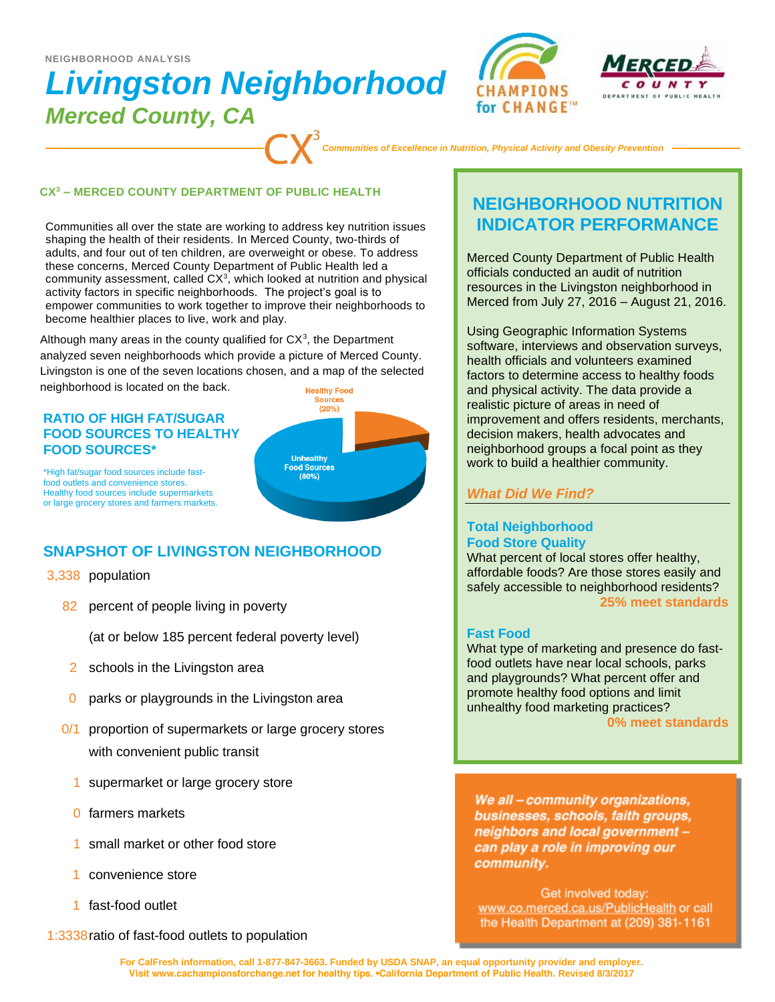# *Livingston Neighborhood Merced County, CA*  **NEIGHBORHOOD ANALYSIS**





*Communities of Excellence in Nutrition, Physical Activity and Obesity Prevention*

#### **CX<sup>3</sup> – MERCED COUNTY DEPARTMENT OF PUBLIC HEALTH**

Communities all over the state are working to address key nutrition issues shaping the health of their residents. In Merced County, two-thirds of adults, and four out of ten children, are overweight or obese. To address these concerns, Merced County Department of Public Health led a community assessment, called  $CX<sup>3</sup>$ , which looked at nutrition and physical activity factors in specific neighborhoods. The project's goal is to empower communities to work together to improve their neighborhoods to become healthier places to live, work and play.

Although many areas in the county qualified for  $CX<sup>3</sup>$ , the Department analyzed seven neighborhoods which provide a picture of Merced County. Livingston is one of the seven locations chosen, and a map of the selected neighborhood is located on the back. **Healthy Food** 

### **RATIO OF HIGH FAT/SUGAR FOOD SOURCES TO HEALTHY FOOD SOURCES\***



\*High fat/sugar food sources include fastfood outlets and convenience stores. Healthy food sources include supermarkets or large grocery stores and farmers markets.

# **SNAPSHOT OF LIVINGSTON NEIGHBORHOOD**

- 3,338 population
	- 82 percent of people living in poverty

(at or below 185 percent federal poverty level)

- 2 schools in the Livingston area
- 0 parks or playgrounds in the Livingston area
- 0/1 proportion of supermarkets or large grocery stores with convenient public transit
	- 1 supermarket or large grocery store
	- 0 farmers markets
	- 1 small market or other food store
	- 1 convenience store
	- 1 fast-food outlet

1:3338ratio of fast-food outlets to population

# **NEIGHBORHOOD NUTRITION INDICATOR PERFORMANCE**

Merced County Department of Public Health officials conducted an audit of nutrition resources in the Livingston neighborhood in Merced from July 27, 2016 – August 21, 2016.

Using Geographic Information Systems software, interviews and observation surveys, health officials and volunteers examined factors to determine access to healthy foods and physical activity. The data provide a realistic picture of areas in need of improvement and offers residents, merchants, decision makers, health advocates and neighborhood groups a focal point as they work to build a healthier community.

## *What Did We Find?*

### **Total Neighborhood Food Store Quality**

What percent of local stores offer healthy, affordable foods? Are those stores easily and safely accessible to neighborhood residents? **25% meet standards**

#### **Fast Food**

What type of marketing and presence do fastfood outlets have near local schools, parks and playgrounds? What percent offer and promote healthy food options and limit unhealthy food marketing practices? **0% meet standards**

We all - community organizations, businesses, schools, faith groups, neighbors and local government can play a role in improving our community.

Get involved today: www.co.merced.ca.us/PublicHealth or call the Health Department at (209) 381-1161